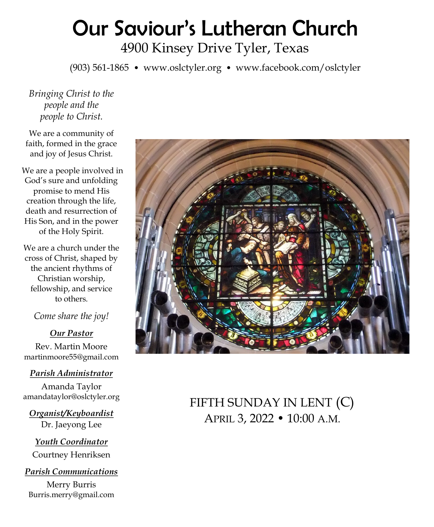# Our Saviour's Lutheran Church 4900 Kinsey Drive Tyler, Texas

(903) 561-1865 • www.oslctyler.org • www.facebook.com/oslctyler

*Bringing Christ to the people and the people to Christ.*

We are a community of faith, formed in the grace and joy of Jesus Christ.

We are a people involved in God's sure and unfolding promise to mend His creation through the life, death and resurrection of His Son, and in the power of the Holy Spirit.

We are a church under the cross of Christ, shaped by the ancient rhythms of Christian worship, fellowship, and service to others.

*Come share the joy!*

*Our Pastor* Rev. Martin Moore martinmoore55@gmail.com

#### *Parish Administrator*

Amanda Taylor amandataylor@oslctyler.org

*Organist/Keyboardist* Dr. Jaeyong Lee

*Youth Coordinator* Courtney Henriksen

*Parish Communications*

Merry Burris Burris.merry@gmail.com



## FIFTH SUNDAY IN LENT (C) APRIL 3, 2022 • 10:00 A.M.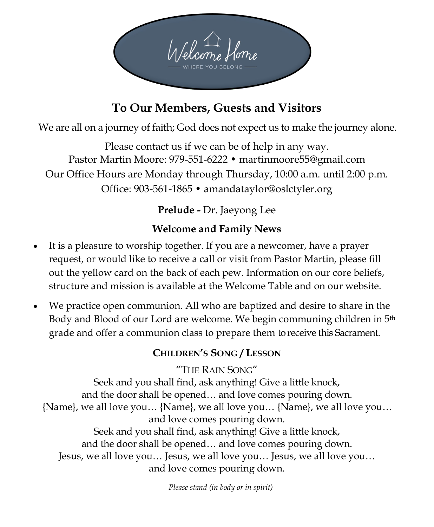

## **To Our Members, Guests and Visitors**

We are all on a journey of faith; God does not expect us to make the journey alone.

Please contact us if we can be of help in any way. Pastor Martin Moore: 979-551-6222 • martinmoore55@gmail.com Our Office Hours are Monday through Thursday, 10:00 a.m. until 2:00 p.m. Office: 903-561-1865 • amandataylor@oslctyler.org

**Prelude -** Dr. Jaeyong Lee

## **Welcome and Family News**

- It is a pleasure to worship together. If you are a newcomer, have a prayer request, or would like to receive a call or visit from Pastor Martin, please fill out the yellow card on the back of each pew. Information on our core beliefs, structure and mission is available at the Welcome Table and on our website.
- We practice open communion. All who are baptized and desire to share in the Body and Blood of our Lord are welcome. We begin communing children in 5th grade and offer a communion class to prepare them to receive this Sacrament.

## **CHILDREN'S SONG / LESSON**

"THE RAIN SONG" Seek and you shall find, ask anything! Give a little knock, and the door shall be opened… and love comes pouring down. {Name}, we all love you… {Name}, we all love you… {Name}, we all love you… and love comes pouring down. Seek and you shall find, ask anything! Give a little knock, and the door shall be opened… and love comes pouring down. Jesus, we all love you… Jesus, we all love you… Jesus, we all love you… and love comes pouring down.

*Please stand (in body or in spirit)*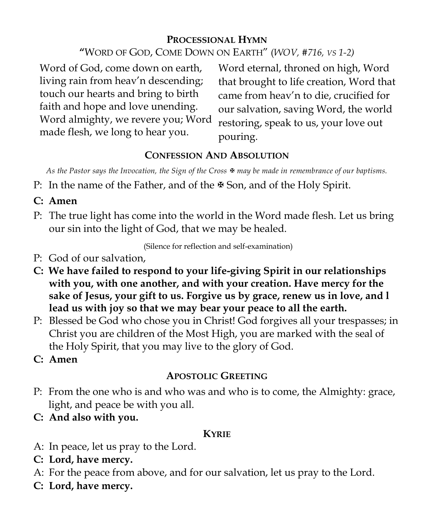#### **PROCESSIONAL HYMN**

#### **"**WORD OF GOD, COME DOWN ON EARTH" (*WOV, #716, VS 1-2)*

Word of God, come down on earth, living rain from heav'n descending; touch our hearts and bring to birth faith and hope and love unending. Word almighty, we revere you; Word made flesh, we long to hear you.

Word eternal, throned on high, Word that brought to life creation, Word that came from heav'n to die, crucified for our salvation, saving Word, the world restoring, speak to us, your love out pouring.

#### **CONFESSION AND ABSOLUTION**

*As the Pastor says the Invocation, the Sign of the Cross* <sup>★</sup> *may be made in remembrance of our baptisms.* 

- P: In the name of the Father, and of the  $\mathcal B$  Son, and of the Holy Spirit.
- **C: Amen**
- P: The true light has come into the world in the Word made flesh. Let us bring our sin into the light of God, that we may be healed.

(Silence for reflection and self-examination)

- P: God of our salvation,
- **C: We have failed to respond to your life-giving Spirit in our relationships with you, with one another, and with your creation. Have mercy for the sake of Jesus, your gift to us. Forgive us by grace, renew us in love, and l lead us with joy so that we may bear your peace to all the earth.**
- P: Blessed be God who chose you in Christ! God forgives all your trespasses; in Christ you are children of the Most High, you are marked with the seal of the Holy Spirit, that you may live to the glory of God.
- **C: Amen**

## **APOSTOLIC GREETING**

- P: From the one who is and who was and who is to come, the Almighty: grace, light, and peace be with you all.
- **C: And also with you.**

#### **KYRIE**

- A: In peace, let us pray to the Lord.
- **C: Lord, have mercy.**
- A: For the peace from above, and for our salvation, let us pray to the Lord.
- **C: Lord, have mercy.**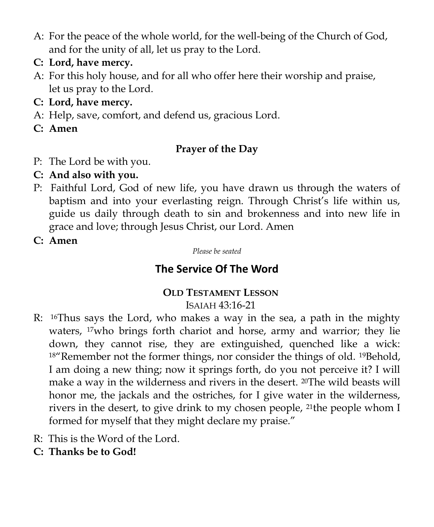- A: For the peace of the whole world, for the well-being of the Church of God, and for the unity of all, let us pray to the Lord.
- **C: Lord, have mercy.**
- A: For this holy house, and for all who offer here their worship and praise, let us pray to the Lord.
- **C: Lord, have mercy.**
- A: Help, save, comfort, and defend us, gracious Lord.
- **C: Amen**

## **Prayer of the Day**

- P: The Lord be with you.
- **C: And also with you.**
- P: Faithful Lord, God of new life, you have drawn us through the waters of baptism and into your everlasting reign. Through Christ's life within us, guide us daily through death to sin and brokenness and into new life in grace and love; through Jesus Christ, our Lord. Amen
- **C: Amen**

*Please be seated*

## **The Service Of The Word**

#### **OLD TESTAMENT LESSON**

## ISAIAH 43:16-21

- R: 16Thus says the Lord, who makes a way in the sea, a path in the mighty waters, 17who brings forth chariot and horse, army and warrior; they lie down, they cannot rise, they are extinguished, quenched like a wick: <sup>18"</sup>Remember not the former things, nor consider the things of old. <sup>19</sup>Behold, I am doing a new thing; now it springs forth, do you not perceive it? I will make a way in the wilderness and rivers in the desert. 20The wild beasts will honor me, the jackals and the ostriches, for I give water in the wilderness, rivers in the desert, to give drink to my chosen people, 21the people whom I formed for myself that they might declare my praise."
- R: This is the Word of the Lord.
- **C: Thanks be to God!**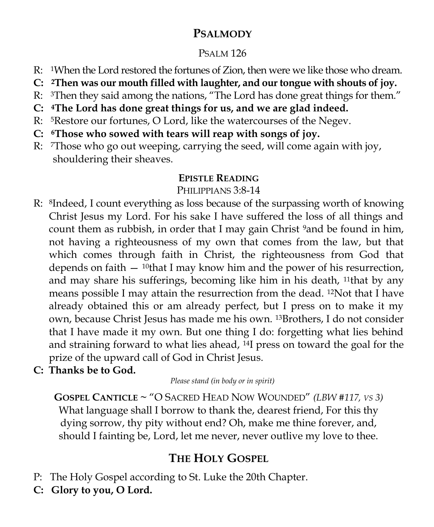## **PSALMODY**

#### PSALM 126

- R: 1When the Lord restored the fortunes of Zion, then were we like those who dream.
- **C: 2Then was our mouth filled with laughter, and our tongue with shouts of joy.**
- R: 3Then they said among the nations, "The Lord has done great things for them."
- **C: 4The Lord has done great things for us, and we are glad indeed.**
- R: 5Restore our fortunes, O Lord, like the watercourses of the Negev.
- **C: 6Those who sowed with tears will reap with songs of joy.**
- R: 7Those who go out weeping, carrying the seed, will come again with joy, shouldering their sheaves.

#### **EPISTLE READING**

## PHILIPPIANS 3:8-14

- R: 8Indeed, I count everything as loss because of the surpassing worth of knowing Christ Jesus my Lord. For his sake I have suffered the loss of all things and count them as rubbish, in order that I may gain Christ <sup>9</sup>and be found in him, not having a righteousness of my own that comes from the law, but that which comes through faith in Christ, the righteousness from God that depends on faith  $-10$ that I may know him and the power of his resurrection, and may share his sufferings, becoming like him in his death, 11that by any means possible I may attain the resurrection from the dead. 12Not that I have already obtained this or am already perfect, but I press on to make it my own, because Christ Jesus has made me his own. 13Brothers, I do not consider that I have made it my own. But one thing I do: forgetting what lies behind and straining forward to what lies ahead, 14I press on toward the goal for the prize of the upward call of God in Christ Jesus.
- **C: Thanks be to God.**

*Please stand (in body or in spirit)*

**GOSPEL CANTICLE ~** "O SACRED HEAD NOW WOUNDED" *(LBW #117, VS 3)*  What language shall I borrow to thank the, dearest friend, For this thy dying sorrow, thy pity without end? Oh, make me thine forever, and, should I fainting be, Lord, let me never, never outlive my love to thee.

## **THE HOLY GOSPEL**

- P: The Holy Gospel according to St. Luke the 20th Chapter.
- **C: Glory to you, O Lord.**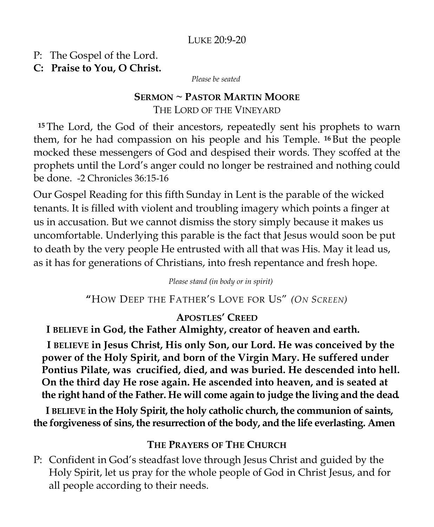P: The Gospel of the Lord.

**C: Praise to You, O Christ.** 

*Please be seated*

## **SERMON ~ PASTOR MARTIN MOORE** THE LORD OF THE VINEYARD

**<sup>15</sup>** The Lord, the God of their ancestors, repeatedly sent his prophets to warn them, for he had compassion on his people and his Temple. **<sup>16</sup>**But the people mocked these messengers of God and despised their words. They scoffed at the prophets until the Lord's anger could no longer be restrained and nothing could be done. -2 Chronicles 36:15-16

Our Gospel Reading for this fifth Sunday in Lent is the parable of the wicked tenants. It is filled with violent and troubling imagery which points a finger at us in accusation. But we cannot dismiss the story simply because it makes us uncomfortable. Underlying this parable is the fact that Jesus would soon be put to death by the very people He entrusted with all that was His. May it lead us, as it has for generations of Christians, into fresh repentance and fresh hope.

*Please stand (in body or in spirit)*

**"**HOW DEEP THE FATHER'S LOVE FOR US" *(ON SCREEN)* 

**APOSTLES' CREED**

 **I BELIEVE in God, the Father Almighty, creator of heaven and earth.**

 **I BELIEVE in Jesus Christ, His only Son, our Lord. He was conceived by the power of the Holy Spirit, and born of the Virgin Mary. He suffered under Pontius Pilate, was crucified, died, and was buried. He descended into hell. On the third day He rose again. He ascended into heaven, and is seated at the right hand of the Father. He will come again to judge the living and the dead.**

 **I BELIEVE in the Holy Spirit, the holy catholic church, the communion of saints, the forgiveness of sins, the resurrection of the body, and the life everlasting. Amen** 

## **THE PRAYERS OF THE CHURCH**

P: Confident in God's steadfast love through Jesus Christ and guided by the Holy Spirit, let us pray for the whole people of God in Christ Jesus, and for all people according to their needs.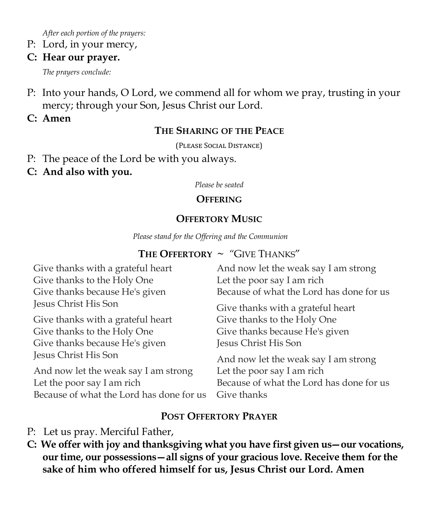*After each portion of the prayers:*

P: Lord, in your mercy,

#### **C: Hear our prayer.**

*The prayers conclude:*

- P: Into your hands, O Lord, we commend all for whom we pray, trusting in your mercy; through your Son, Jesus Christ our Lord.
- **C: Amen**

#### **THE SHARING OF THE PEACE**

(Please Social Distance)

- P: The peace of the Lord be with you always.
- **C: And also with you.**

*Please be seated*

#### **OFFERING**

#### **OFFERTORY MUSIC**

*Please stand for the Offering and the Communion* 

#### **THE OFFERTORY** *~ "*GIVE THANKS"

| Give thanks with a grateful heart        | And now let the weak say I am strong     |
|------------------------------------------|------------------------------------------|
| Give thanks to the Holy One              | Let the poor say I am rich               |
| Give thanks because He's given           | Because of what the Lord has done for us |
| Jesus Christ His Son                     | Give thanks with a grateful heart        |
| Give thanks with a grateful heart        | Give thanks to the Holy One              |
| Give thanks to the Holy One              | Give thanks because He's given           |
| Give thanks because He's given           | Jesus Christ His Son                     |
| Jesus Christ His Son                     | And now let the weak say I am strong     |
| And now let the weak say I am strong     | Let the poor say I am rich               |
| Let the poor say I am rich               | Because of what the Lord has done for us |
| Because of what the Lord has done for us | Give thanks                              |

#### **POST OFFERTORY PRAYER**

- P: Let us pray. Merciful Father,
- **C: We offer with joy and thanksgiving what you have first given us—our vocations, our time, our possessions—all signs of your gracious love. Receive them for the sake of him who offered himself for us, Jesus Christ our Lord. Amen**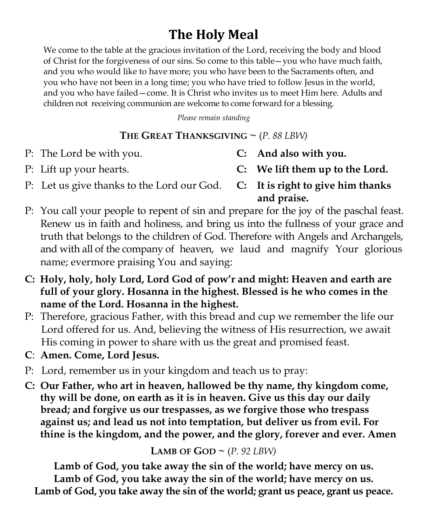## **The Holy Meal**

We come to the table at the gracious invitation of the Lord, receiving the body and blood of Christ for the forgiveness of our sins. So come to this table—you who have much faith, and you who would like to have more; you who have been to the Sacraments often, and you who have not been in a long time; you who have tried to follow Jesus in the world, and you who have failed—come. It is Christ who invites us to meet Him here. Adults and children not receiving communion are welcome to come forward for a blessing.

#### *Please remain standing*

#### **THE GREAT THANKSGIVING**  $\sim$  (*P. 88 LBW*)

- P: The Lord be with you. **C: And also with you.**
- 
- P: Let us give thanks to the Lord our God. **C: It is right to give him thanks**
- 
- P: Lift up your hearts. **C: We lift them up to the Lord.**
	- **and praise.**
- P: You call your people to repent of sin and prepare for the joy of the paschal feast. Renew us in faith and holiness, and bring us into the fullness of your grace and truth that belongs to the children of God. Therefore with Angels and Archangels, and with all of the company of heaven, we laud and magnify Your glorious name; evermore praising You and saying:
- **C: Holy, holy, holy Lord, Lord God of pow'r and might: Heaven and earth are full of your glory. Hosanna in the highest. Blessed is he who comes in the name of the Lord. Hosanna in the highest.**
- P: Therefore, gracious Father, with this bread and cup we remember the life our Lord offered for us. And, believing the witness of His resurrection, we await His coming in power to share with us the great and promised feast.
- **C**: **Amen. Come, Lord Jesus.**
- P: Lord, remember us in your kingdom and teach us to pray:
- **C: Our Father, who art in heaven, hallowed be thy name, thy kingdom come, thy will be done, on earth as it is in heaven. Give us this day our daily bread; and forgive us our trespasses, as we forgive those who trespass against us; and lead us not into temptation, but deliver us from evil. For thine is the kingdom, and the power, and the glory, forever and ever. Amen**

#### **LAMB OF**  $G$ **OD**  $\sim$   $(P. 92$  *LBW*)

**Lamb of God, you take away the sin of the world; have mercy on us. Lamb of God, you take away the sin of the world; have mercy on us. Lamb of God, you take away the sin of the world; grant us peace, grant us peace.**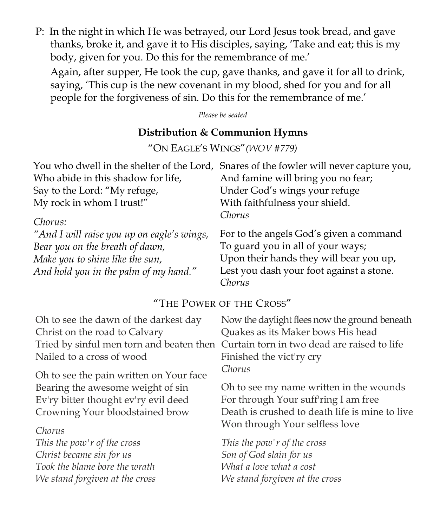P: In the night in which He was betrayed, our Lord Jesus took bread, and gave thanks, broke it, and gave it to His disciples, saying, 'Take and eat; this is my body, given for you. Do this for the remembrance of me.'

Again, after supper, He took the cup, gave thanks, and gave it for all to drink, saying, 'This cup is the new covenant in my blood, shed for you and for all people for the forgiveness of sin. Do this for the remembrance of me.'

*Please be seated*

#### **Distribution & Communion Hymns**

"ON EAGLE'S WINGS"*(WOV #779)* 

|                                            | You who dwell in the shelter of the Lord, Snares of the fowler will never capture you, |
|--------------------------------------------|----------------------------------------------------------------------------------------|
| Who abide in this shadow for life,         | And famine will bring you no fear;                                                     |
| Say to the Lord: "My refuge,               | Under God's wings your refuge                                                          |
| My rock in whom I trust!"                  | With faithfulness your shield.                                                         |
| Chorus:                                    | Chorus                                                                                 |
| "And I will raise you up on eagle's wings, | For to the angels God's given a command                                                |
| Bear you on the breath of dawn,            | To guard you in all of your ways;                                                      |
| Make you to shine like the sun,            | Upon their hands they will bear you up,                                                |
| And hold you in the palm of my hand."      | Lest you dash your foot against a stone.                                               |
|                                            | Chorus                                                                                 |

#### "THE POWER OF THE CROSS"

| Oh to see the dawn of the darkest day    | Now the daylight flees now the ground beneath  |  |
|------------------------------------------|------------------------------------------------|--|
| Christ on the road to Calvary            | Quakes as its Maker bows His head              |  |
| Tried by sinful men torn and beaten then | Curtain torn in two dead are raised to life    |  |
| Nailed to a cross of wood                | Finished the vict'ry cry                       |  |
| Oh to see the pain written on Your face  | Chorus                                         |  |
| Bearing the awesome weight of sin        | Oh to see my name written in the wounds        |  |
| Ev'ry bitter thought ev'ry evil deed     | For through Your suff'ring I am free           |  |
| Crowning Your bloodstained brow          | Death is crushed to death life is mine to live |  |
| Chorus                                   | Won through Your selfless love                 |  |
| This the pow'r of the cross              | This the pow'r of the cross                    |  |
| Christ became sin for us                 | Son of God slain for us                        |  |
| Took the blame bore the wrath            | What a love what a cost                        |  |
| We stand forgiven at the cross           | We stand forgiven at the cross                 |  |
|                                          |                                                |  |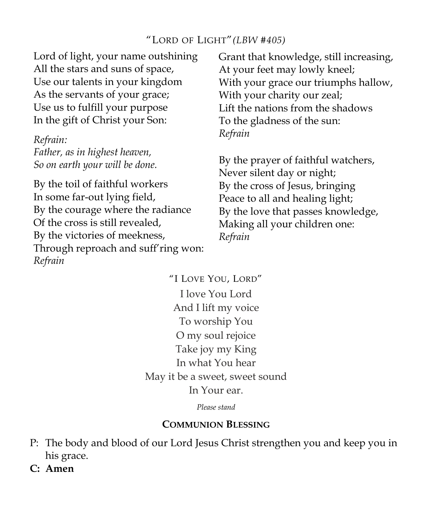## "LORD OF LIGHT"*(LBW #405)*

Lord of light, your name outshining All the stars and suns of space, Use our talents in your kingdom As the servants of your grace; Use us to fulfill your purpose In the gift of Christ your Son:

*Refrain: Father, as in highest heaven, So on earth your will be done.*

By the toil of faithful workers In some far-out lying field, By the courage where the radiance Of the cross is still revealed, By the victories of meekness, Through reproach and suff'ring won: *Refrain*

Grant that knowledge, still increasing, At your feet may lowly kneel; With your grace our triumphs hallow, With your charity our zeal; Lift the nations from the shadows To the gladness of the sun: *Refrain*

By the prayer of faithful watchers, Never silent day or night; By the cross of Jesus, bringing Peace to all and healing light; By the love that passes knowledge, Making all your children one: *Refrain*

"I LOVE YOU, LORD"

I love You Lord And I lift my voice To worship You O my soul rejoice Take joy my King In what You hear May it be a sweet, sweet sound In Your ear.

*Please stand* 

#### **Lay Coordinator: Ed Lattier COMMUNION BLESSING**

- Local and blood of our Lord <u>Locus Christ strepathen vou</u> R**eader: Cheryl Pontious Communion Assistants: Carol Lattier** P: The body and blood of our Lord Jesus Christ strengthen you and keep you in his grace.
- **Projectionist: Toby Fite C: Amen**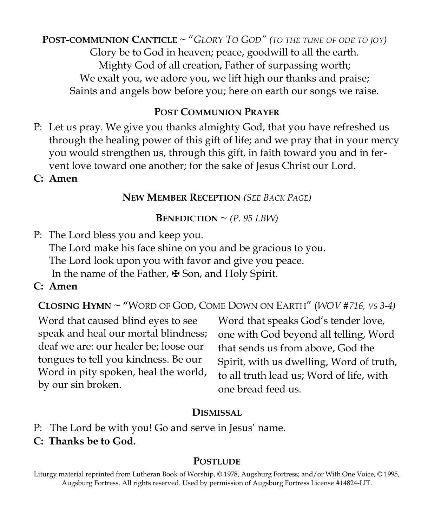**POST-COMMUNION CANTICLE** ~ "*GLORY TO GOD" (TO THE TUNE OF ODE TO JOY)*  Glory be to God in heaven; peace, goodwill to all the earth. Mighty God of all creation, Father of surpassing worth; We exalt you, we adore you, we lift high our thanks and praise; Saints and angels bow before you; here on earth our songs we raise.

### **POST COMMUNION PRAYER**

P: Let us pray. We give you thanks almighty God, that you have refreshed us through the healing power of this gift of life; and we pray that in your mercy you would strengthen us, through this gift, in faith toward you and in fervent love toward one another; for the sake of Jesus Christ our Lord.

**C: Amen** 

#### **NEW MEMBER RECEPTION** *(SEE BACK PAGE)*

**BENEDICTION**  $\sim$  *(P. 95 LBW)* 

P: The Lord bless you and keep you.

 The Lord make his face shine on you and be gracious to you. The Lord look upon you with favor and give you peace. In the name of the Father, ✠ Son, and Holy Spirit.

#### **C: Amen**

**CLOSING HYMN ~ "**WORD OF GOD, COME DOWN ON EARTH" (*WOV #716, VS 3-4)*

Word that caused blind eyes to see speak and heal our mortal blindness; deaf we are: our healer be; loose our tongues to tell you kindness. Be our Word in pity spoken, heal the world, by our sin broken.

Word that speaks God's tender love, one with God beyond all telling, Word that sends us from above, God the Spirit, with us dwelling, Word of truth, to all truth lead us; Word of life, with one bread feed us.

#### **DISMISSAL**

- P: The Lord be with you! Go and serve in Jesus' name.
- **C: Thanks be to God.**

#### **POSTLUDE**

Liturgy material reprinted from Lutheran Book of Worship, © 1978, Augsburg Fortress; and/or With One Voice, © 1995, Augsburg Fortress. All rights reserved. Used by permission of Augsburg Fortress License #14824-LIT.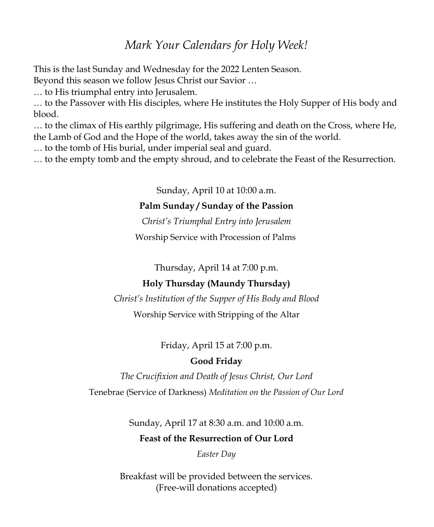## *Mark Your Calendars for Holy Week!*

This is the last Sunday and Wednesday for the 2022 Lenten Season.

Beyond this season we follow Jesus Christ our Savior …

… to His triumphal entry into Jerusalem.

… to the Passover with His disciples, where He institutes the Holy Supper of His body and blood.

… to the climax of His earthly pilgrimage, His suffering and death on the Cross, where He, the Lamb of God and the Hope of the world, takes away the sin of the world.

… to the tomb of His burial, under imperial seal and guard.

… to the empty tomb and the empty shroud, and to celebrate the Feast of the Resurrection.

Sunday, April 10 at 10:00 a.m.

#### **Palm Sunday / Sunday of the Passion**

*Christ's Triumphal Entry into Jerusalem*

Worship Service with Procession of Palms

Thursday, April 14 at 7:00 p.m.

#### **Holy Thursday (Maundy Thursday)**

*Christ's Institution of the Supper of His Body and Blood*

Worship Service with Stripping of the Altar

Friday, April 15 at 7:00 p.m.

#### **Good Friday**

*The Crucifixion and Death of Jesus Christ, Our Lord*

Tenebrae (Service of Darkness) *Meditation on* t*he Passion of Our Lord* 

Sunday, April 17 at 8:30 a.m. and 10:00 a.m.

**Feast of the Resurrection of Our Lord**

*Easter Day*

Breakfast will be provided between the services. (Free-will donations accepted)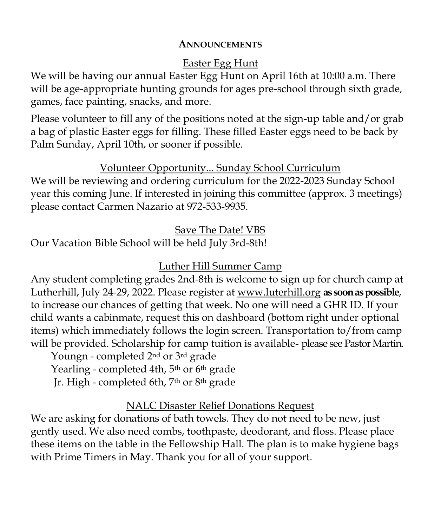#### **ANNOUNCEMENTS**

## Easter Egg Hunt

We will be having our annual Easter Egg Hunt on April 16th at 10:00 a.m. There will be age-appropriate hunting grounds for ages pre-school through sixth grade, games, face painting, snacks, and more.

Please volunteer to fill any of the positions noted at the sign-up table and/or grab a bag of plastic Easter eggs for filling. These filled Easter eggs need to be back by Palm Sunday, April 10th, or sooner if possible.

## Volunteer Opportunity... Sunday School Curriculum

We will be reviewing and ordering curriculum for the 2022-2023 Sunday School year this coming June. If interested in joining this committee (approx. 3 meetings) please contact Carmen Nazario at 972-533-9935.

Save The Date! VBS

Our Vacation Bible School will be held July 3rd-8th!

## Luther Hill Summer Camp

Any student completing grades 2nd-8th is welcome to sign up for church camp at Lutherhill, July 24-29, 2022. Please register at [www.luterhill.org](http://www.luterhill.org) **as soon aspossible**, to increase our chances of getting that week. No one will need a GHR ID. If your child wants a cabinmate, request this on dashboard (bottom right under optional items) which immediately follows the login screen. Transportation to/from camp will be provided. Scholarship for camp tuition is available- please see Pastor Martin.

Youngn - completed 2nd or 3rd grade

Yearling - completed 4th, 5<sup>th</sup> or 6<sup>th</sup> grade

Jr. High - completed 6th, 7th or 8th grade

## NALC Disaster Relief Donations Request

We are asking for donations of bath towels. They do not need to be new, just gently used. We also need combs, toothpaste, deodorant, and floss. Please place these items on the table in the Fellowship Hall. The plan is to make hygiene bags with Prime Timers in May. Thank you for all of your support.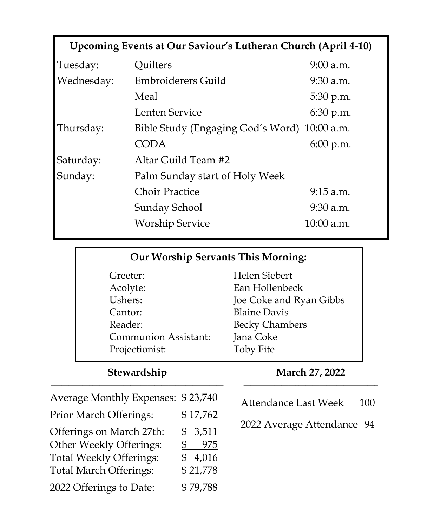| Upcoming Events at Our Saviour's Lutheran Church (April 4-10) |                                   |              |  |
|---------------------------------------------------------------|-----------------------------------|--------------|--|
| Tuesday:                                                      | <b>Quilters</b>                   | 9:00 a.m.    |  |
| Wednesday:                                                    | Embroiderers Guild                | $9:30$ a.m.  |  |
|                                                               | Meal                              | 5:30 p.m.    |  |
|                                                               | <b>Lenten Service</b>             | $6:30$ p.m.  |  |
| Thursday:                                                     | Bible Study (Engaging God's Word) | $10:00$ a.m. |  |
|                                                               | <b>CODA</b>                       | $6:00$ p.m.  |  |
| Saturday:                                                     | Altar Guild Team #2               |              |  |
| Sunday:                                                       | Palm Sunday start of Holy Week    |              |  |
|                                                               | <b>Choir Practice</b>             | 9:15 a.m.    |  |
|                                                               | Sunday School                     | 9:30 a.m.    |  |
|                                                               | <b>Worship Service</b>            | $10:00$ a.m. |  |

**Our Worship Servants This Morning:**

| Greeter:                    | Helen Siebert           |
|-----------------------------|-------------------------|
| Acolyte:                    | Ean Hollenbeck          |
| Ushers:                     | Joe Coke and Ryan Gibbs |
| Cantor:                     | <b>Blaine Davis</b>     |
| Reader:                     | <b>Becky Chambers</b>   |
| <b>Communion Assistant:</b> | Jana Coke               |
| Projectionist:              | <b>Toby Fite</b>        |

#### **Stewardship** \_\_\_\_\_\_\_\_\_\_\_\_\_\_\_\_\_\_\_\_\_\_\_\_\_\_\_\_\_\_\_\_\_\_\_\_\_\_\_\_\_\_\_\_\_\_\_\_\_\_

| Average Monthly Expenses: \$23,740                              |                       |
|-----------------------------------------------------------------|-----------------------|
| <b>Prior March Offerings:</b>                                   | \$17,762              |
| Offerings on March 27th:<br>Other Weekly Offerings:             | \$3,511<br>975<br>SS. |
| <b>Total Weekly Offerings:</b><br><b>Total March Offerings:</b> | \$4,016<br>\$21,778   |
| 2022 Offerings to Date:                                         | \$79,788              |

#### **March 27, 2022** \_\_\_\_\_\_\_\_\_\_\_\_\_\_\_\_\_\_\_\_\_\_\_\_\_\_\_\_\_\_\_\_\_\_\_\_\_\_\_

Attendance Last Week 100

2022 Average Attendance 94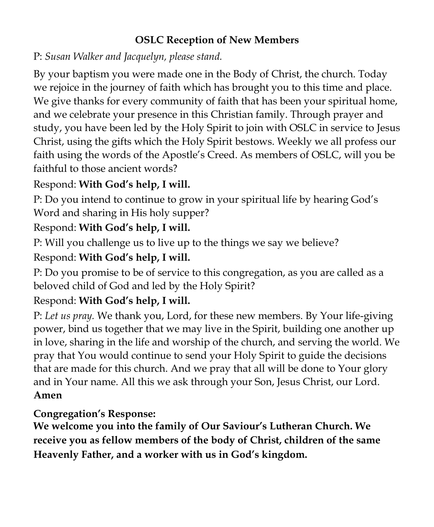## **OSLC Reception of New Members**

P: *Susan Walker and Jacquelyn, please stand.* 

By your baptism you were made one in the Body of Christ, the church. Today we rejoice in the journey of faith which has brought you to this time and place. We give thanks for every community of faith that has been your spiritual home, and we celebrate your presence in this Christian family. Through prayer and study, you have been led by the Holy Spirit to join with OSLC in service to Jesus Christ, using the gifts which the Holy Spirit bestows. Weekly we all profess our faith using the words of the Apostle's Creed. As members of OSLC, will you be faithful to those ancient words?

## Respond: **With God's help, I will.**

P: Do you intend to continue to grow in your spiritual life by hearing God's Word and sharing in His holy supper?

## Respond: **With God's help, I will.**

P: Will you challenge us to live up to the things we say we believe?

## Respond: **With God's help, I will.**

P: Do you promise to be of service to this congregation, as you are called as a beloved child of God and led by the Holy Spirit?

## Respond: **With God's help, I will.**

P: *Let us pray.* We thank you, Lord, for these new members. By Your life-giving power, bind us together that we may live in the Spirit, building one another up in love, sharing in the life and worship of the church, and serving the world. We pray that You would continue to send your Holy Spirit to guide the decisions that are made for this church. And we pray that all will be done to Your glory and in Your name. All this we ask through your Son, Jesus Christ, our Lord. **Amen** 

## **Congregation's Response:**

**We welcome you into the family of Our Saviour's Lutheran Church. We receive you as fellow members of the body of Christ, children of the same Heavenly Father, and a worker with us in God's kingdom.**